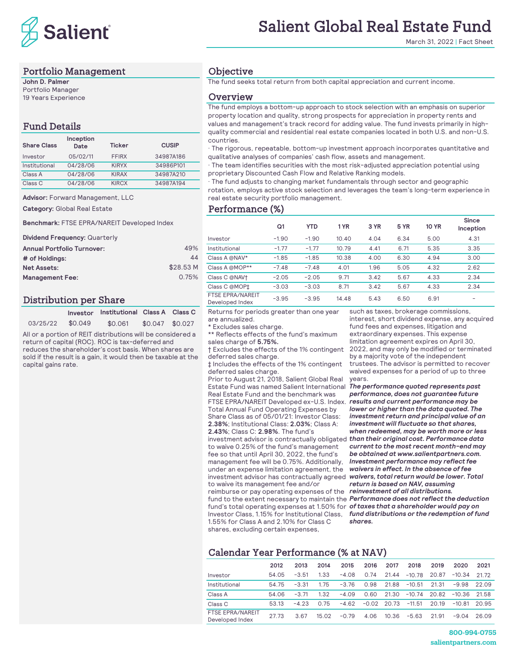

#### Portfolio Management

**John D. Palmer** Portfolio Manager 19 Years Experience

#### Fund Details

| <b>Share Class</b> | Inception<br>Date | <b>Ticker</b> | <b>CUSIP</b> |
|--------------------|-------------------|---------------|--------------|
| Investor           | 05/02/11          | <b>FFIRX</b>  | 34987A186    |
| Institutional      | 04/28/06          | <b>KIRYX</b>  | 34986P101    |
| Class A            | 04/28/06          | <b>KIRAX</b>  | 34987A210    |
| Class C            | 04/28/06          | <b>KIRCX</b>  | 34987A194    |

**Advisor:** Forward Management, LLC

**Category:** Global Real Estate

**Benchmark:** FTSE EPRA/NAREIT Developed Index

**Dividend Frequency:** Quarterly

| <b>Annual Portfolio Turnover:</b> | 49%       | Institutional  |
|-----------------------------------|-----------|----------------|
| # of Holdings:                    | 44        | Class A @NAV*  |
| <b>Net Assets:</b>                | \$28.53 M | Class A @MOP** |
| <b>Management Fee:</b>            | 0.75%     | Class C @NAV†  |
|                                   |           |                |

#### Distribution per Share

|          |         | Investor Institutional Class A Class C |                 |  |
|----------|---------|----------------------------------------|-----------------|--|
| 03/25/22 | \$0.049 | \$0.061                                | \$0.047 \$0.027 |  |

All or a portion of REIT distributions will be considered a return of capital (ROC). ROC is tax-deferred and reduces the shareholder's cost basis. When shares are

sold if the result is a gain, it would then be taxable at the capital gains rate.

# Salient Global Real Estate Fund

March 31, 2022 | Fact Sheet

#### **Objective**

The fund seeks total return from both capital appreciation and current income.

#### **Overview**

The fund employs a bottom-up approach to stock selection with an emphasis on superior property location and quality, strong prospects for appreciation in property rents and values and management's track record for adding value. The fund invests primarily in highquality commercial and residential real estate companies located in both U.S. and non-U.S. countries.

· The rigorous, repeatable, bottom-up investment approach incorporates quantitative and qualitative analyses of companies' cash flow, assets and management.

· The team identifies securities with the most risk-adjusted appreciation potential using proprietary Discounted Cash Flow and Relative Ranking models.

· The fund adjusts to changing market fundamentals through sector and geographic rotation, employs active stock selection and leverages the team's long-term experience in real estate security portfolio management.

#### Performance (%)

|                                            | Q <sub>1</sub> | <b>YTD</b> | 1 YR  | 3 YR | 5 YR | <b>10 YR</b> | Since<br>Inception |
|--------------------------------------------|----------------|------------|-------|------|------|--------------|--------------------|
| Investor                                   | $-1.90$        | $-1.90$    | 10.40 | 4.04 | 6.34 | 5.00         | 4.31               |
| Institutional                              | $-1.77$        | $-1.77$    | 10.79 | 4.41 | 6.71 | 5.35         | 3.35               |
| Class A @NAV*                              | $-1.85$        | $-1.85$    | 10.38 | 4.00 | 6.30 | 4.94         | 3.00               |
| Class A @MOP**                             | $-7.48$        | $-7.48$    | 4.01  | 1.96 | 5.05 | 4.32         | 2.62               |
| Class C @NAV†                              | $-2.05$        | $-2.05$    | 9.71  | 3.42 | 5.67 | 4.33         | 2.34               |
| Class C @MOP‡                              | $-3.03$        | $-3.03$    | 8.71  | 3.42 | 5.67 | 4.33         | 2.34               |
| <b>FTSE EPRA/NAREIT</b><br>Developed Index | $-3.95$        | $-3.95$    | 14.48 | 5.43 | 6.50 | 6.91         |                    |

Returns for periods greater than one year are annualized.

\* Excludes sales charge.

\*\* Reflects effects of the fund's maximum sales charge of **5.75%.**

† Excludes the effects of the 1% contingent deferred sales charge.

‡ Includes the effects of the 1% contingent deferred sales charge.

Prior to August 21, 2018, Salient Global Real Estate Fund was named Salient International Real Estate Fund and the benchmark was FTSE EPRA/NAREIT Developed ex-U.S. Index. *results and current performance may be*  Total Annual Fund Operating Expenses by Share Class as of 05/01/21: Investor Class: **2.38%**; Institutional Class: **2.03%**; Class A: **2.43%**; Class C: **2.98%**. The fund's

investment advisor is contractually obligated *than their original cost. Performance data*  to waive 0.25% of the fund's management fee so that until April 30, 2022, the fund's management fee will be 0.75%. Additionally, under an expense limitation agreement, the investment advisor has contractually agreed *waivers, total return would be lower. Total*  to waive its management fee and/or

reimburse or pay operating expenses of the *reinvestment of all distributions.*  fund's total operating expenses at 1.50% for **of taxes that a shareholder would pay on** Investor Class, 1.15% for Institutional Class, 1.55% for Class A and 2.10% for Class C shares, excluding certain expenses,

such as taxes, brokerage commissions, interest, short dividend expense, any acquired fund fees and expenses, litigation and extraordinary expenses. This expense limitation agreement expires on April 30, 2022, and may only be modified or terminated by a majority vote of the independent trustees. The advisor is permitted to recover waived expenses for a period of up to three years.

fund to the extent necessary to maintain the *Performance does not reflect the deduction The performance quoted represents past performance, does not guarantee future lower or higher than the data quoted. The investment return and principal value of an investment will fluctuate so that shares, when redeemed, may be worth more or less current to the most recent month-end may be obtained at www.salientpartners.com. Investment performance may reflect fee waivers in effect. In the absence of fee return is based on NAV, assuming fund distributions or the redemption of fund shares.*

#### Calendar Year Performance (% at NAV)

|                                            | 2012  | 2013    | 2014  | 2015    | 2016    | 2017  | 2018           | 2019  | 2020           | 2021  |
|--------------------------------------------|-------|---------|-------|---------|---------|-------|----------------|-------|----------------|-------|
| Investor                                   | 54.05 | $-3.51$ | 1.33  | $-4.08$ | 0.74    | 21.44 | $-10.78$       | 20.87 | $-10.34$       | 21.72 |
| Institutional                              | 54 75 | $-3.31$ | 175   | $-3.76$ | 0.98    | 21.88 | $-10.51$       | 21.31 | $-9.98$        | 22.09 |
| Class A                                    | 54.06 | $-3.71$ | 1.32  | $-4.09$ | 0.60    | 21.30 | $-10.74$ 20.82 |       | $-10.36$ 21.58 |       |
| Class <sub>C</sub>                         | 53.13 | $-423$  | 0.75  | $-4.62$ | $-0.02$ | 20.73 | $-11.51$       | 20.19 | $-10.81$       | 20.95 |
| <b>FTSE EPRA/NAREIT</b><br>Developed Index | 27.73 | 3.67    | 15.02 | $-0.79$ | 4.06    | 10.36 | $-5.63$        | 21.91 | $-9.04$        | 26.09 |